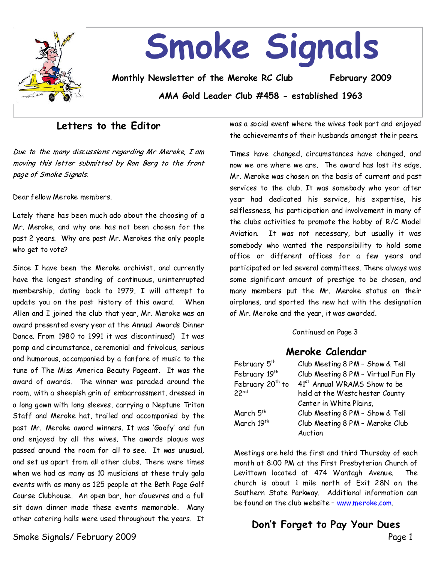

### **Letters to the Editor**

Due to the many discussions regarding Mr Meroke, I am moving this letter submitted by Ron Berg to the front page of Smoke Signals.

Dear fellow Meroke members.

Lately there has been much ado about the choosing of a Mr. Meroke, and why one has not been chosen for the past 2 years. Why are past Mr. Merokes the only people who get to vote?

Since I have been the Meroke archivist, and currently have the longest standing of continuous, uninterrupted membership, dating back to 1979, I will attempt to update you on the past history of this award. When Allen and I joined the club that year, Mr. Meroke was an award presented every year at the Annual Awards Dinner Dance. From 1980 to 1991 it was discontinued) It was pomp and circumstance, ceremonial and frivolous, serious and humorous, accompanied by a fanfare of music to the tune of The Miss America Beauty Pageant. It was the award of awards. The winner was paraded around the room, with a sheepish grin of embarrassment, dressed in a long gown with long sleeves, carrying a Neptune Triton Staff and Meroke hat, trailed and accompanied by the past Mr. Meroke award winners. It was 'Goofy' and fun and enjoyed by all the wives. The awards plaque was passed around the room for all to see. It was unusual, and set us apart from all other clubs.There were times when we had as many as 10 musicians at these truly gala events with as manyas 125 people at the Beth Page Golf Course Clubhouse. An open bar, hor d'ouevres and a full sit down dinner made these events memorable. Many other catering halls were used throughout the years. It

Smoke Signals/ February 2009 Page 1

was a social event where the wivestook part and enjoyed the achievements of their husbands amongst their peers.

Times have changed, circumstances have changed, and now we are where we are. The award has lost its edge. Mr. Meroke was chosen on the basis of current and past services to the club. It was somebody who year after year had dedicated his service, his expertise, his selflessness, his participation and involvement in many of the clubs activities to promote the hobby of R/C Model Aviation. It was not necessary, but usually it was somebody who wanted the responsibility to hold some office or different offices for a few years and participated or led several committees.There always was some significant amount of prestige to be chosen, and many members put the Mr. Meroke status on their airplanes, and sported the new hat with the designation of Mr. Meroke and the year, it was awarded.

### Continued on Page 3

### **Meroke Calendar**

| February 5 <sup>th</sup>     | Club Meeting 8 PM - Show & Tell          |
|------------------------------|------------------------------------------|
| February 19th                | Club Meeting 8 PM - Virtual Fun Fly      |
| February 20 <sup>th</sup> to | 41 <sup>st</sup> Annual WRAMS Show to be |
| 22 <sup>nd</sup>             | held at the Westchester County           |
|                              | Center in White Plains,                  |
| March 5 <sup>th</sup>        | Club Meeting 8 PM - Show & Tell          |
| March 19th                   | Club Meeting 8 PM - Meroke Club          |
|                              | Auction                                  |

Meetings are held the first and third Thursday of each month at 8:00 PM at the First Presbyterian Church of Levittown located at 474 Wantagh Avenue. The church is about 1 mile north of Exit 28N on the Southern State Parkway. Additional information can be found on the club website–www.meroke.com.

# **Don't Forget to Pay Your Dues**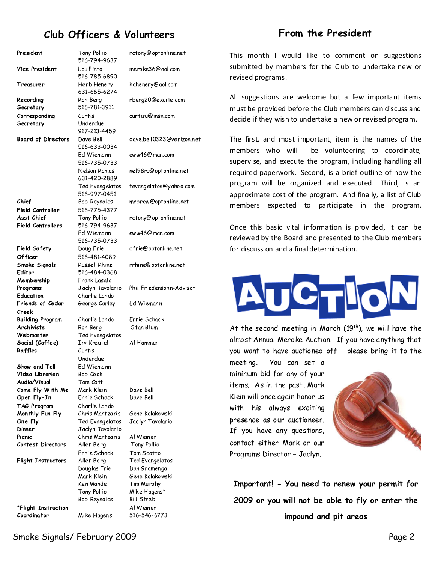# **Club Officers & Volunteers**

### **From the President**

President Tony Pollio 516-794-9637 **Vice President** Lou Pinto 516-785-6890 **Treasurer** Herb Henery 631-665-6274 **Recording Secretary** Ron Berg 516-781-3911 **Corresponding Secretary** Curtis Underdue 917-213-4459 **Board of Directors** Dave Bell 516-633-0034 Ed Wiemann 516-735-0733 Nelson Ramos 631-420-2889 Ted Evangelatos 516-997-0451 **Chief Field Controller** Bob Reynolds 516-775-4377 **Asst Chief Field Controllers** Tony Pollio 516-794-9637 Ed Wiemann 516-735-0733 **Field Safety Of ficer** Doug Frie 516-481-4089 **Smoke Signals Editor** Russell Rhine 516-484-0368 **Membership** Frank Lasala **Programs** Jaclyn Tavolario Phil Friedensohn-Advisor **Education** Charlie Lando **Friends of Cedar Creek** George Carley Ed Wiemann **Building Program**  Charlie Lando Ernie Schack **Archivists** Ron Berg **Webmaster** Ted Evangelatos **Social (Coffee)** Irv Kreutel Al Hammer **Raffles** Curtis Underdue **Show and Tell** Fd Wiemann **Video Librarian** Bob Cook **Audio/Visual**  Tom Cott **Come Fly With Me** Mark Klein Dave Bell **Open Fly-In** Ernie Schack Dave Bell **TAG Program** Charlie Lando **Monthly Fun Fly** Chris Mantzaris Gene Kolakowski **One Fly** Ted Evangelatos Jaclyn Tavolario **Dinner** Jaclyn Tavolario **Picnic** Chris Mantzaris Al Weiner **Contest Directors** Allen Berg Tony Pollio Ernie Schack Tom Scotto **Flight Instructors** Allen Berg Ted Evangelatos Ken Mandel Tim Murphy Tony Pollio Mike Hagens\* Bob Reynolds Bill Streb **\*Flight Instruction** Al Weiner **Coordinator** Mike Hagens 516-546-6773

rctony@optonline.net meroke36@aol.com hahenery@aol.com rberg20@excite.com curtisu@msn.com dave.bell0323@verizon.net eww46@man.com nel98rc@optonline.net tevangelatos@yahoo.com mrbrew@optonline.net rctony@optonline.net eww46@man.com dfrie@optonline.net rrhine@optonline.net Douglas Frie Dan Gramenga Mark Klein Gene Kolakowski

This month I would like to comment on suggestions submitted by members for the Club to undertake new or revised programs.

All suggestions are welcome but a few important items must be provided before the Club members can discuss and decide if they wish to undertake a new or revised program.

The first, and most important, item is the names of the members who will be volunteering to coordinate, supervise, and execute the program, including handling all required paperwork. Second, is a brief outline of how the program will be organized and executed. Third, is an approximate cost of the program. And finally, a list of Club members expected to participate in the program.

Once this basic vital information is provided, it can be reviewed by the Board and presented to the Club members for discussion and a finaldetermination.

At the second meeting in March  $(19<sup>th</sup>)$ , we will have the almost Annual Meroke Auction. If you have anything that you want to have auctioned off - please bring it to the

meeting. You can set a minimum bid for any of your items. As in the past, Mark Klein will once again honor us with his always exciting presence as our auctioneer. If you have any questions, contact either Mark or our Programs Director–Jaclyn.



**Important! - You need to renew your permit for 2009 or you will not be able to fly or enter the impound and pit areas**

Smoke Signals/ February 2009 Page 2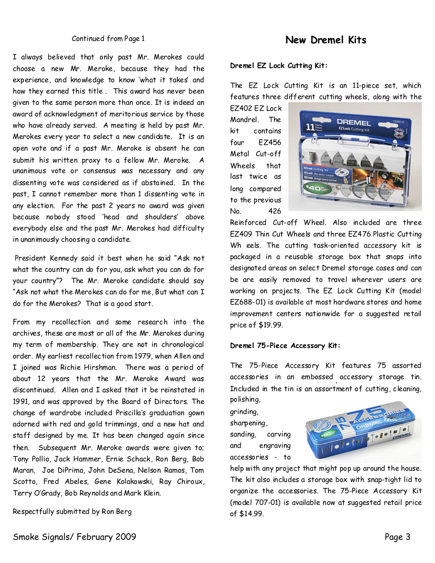#### Continued from Page 1

I always believed that only past Mr. Merokes could choose a new Mr. Meroke, because they had the experience, and knowledge to know 'what it takes'and how they earned this title. This award has never been given to the same person more than once. It is indeed an award of acknowledgment of meritorious service by those who have already served. A meeting is held by past Mr. Merokes every year to select a new candidate. It is an open vote and if a past Mr. Meroke is absent he can submit his written proxy to a fellow Mr. Meroke. A unanimous vote or consensus was necessary and any dissenting vote was considered as if abstained. In the past, I cannot remember more than 1 dissenting vote in any election. For the past 2 years no award was given because nobody stood 'head and shoulders' above everybody else and the past Mr. Merokes had difficulty in unanimously choosing a candidate.

President Kennedy said it best when he said "Ask not what the country can do for you, ask what you can do for your country"? The Mr. Meroke candidate should say "Ask not what the Merokes can do for me, But what can I do for the Merokes? That is a good start.

From my recollection and some research into the archives, these are most or all of the Mr. Merokes during my term of membership.They are not in chronological order. My earliest recollection from 1979, when Allen and I joined was Richie Hirshman. There was a period of about 12 years that the Mr. Meroke Award was discontinued. Allen and I asked that it be reinstated in 1991, and was approved by the Board of Directors.The change of wardrobe included Priscilla's graduation gown adorned with red and gold trimmings, and a new hat and staff designed by me. It has been changed again since then. Subsequent Mr. Meroke awards were given to; Tony Pollio, Jack Hammer, Ernie Schack, Ron Berg, Bob Maran, Joe DiPrima, John DeSena, Nelson Ramos, Tom Scotto, Fred Abeles, Gene Kolakowski, Ray Chiroux, Terry O'Grady, Bob Reynolds and Mark Klein.

Respectfully submitted by Ron Berg

### **New Dremel Kits**

### **Dremel EZ Lock Cutting Kit:**

The EZ Lock Cutting Kit is an 11-piece set, which features three different cutting wheels, along with the

EZ402 EZ Lock Mandrel. The kit contains four EZ456 Metal Cut-off Wheels that last twice as long compared to the previous No. 426



Reinforced Cut-off Wheel. Also included are three EZ409 Thin Cut Wheels and three EZ476 Plastic Cutting Wh eels. The cutting task-oriented accessory kit is packaged in a reusable storage box that snaps into designated areas on select Dremel storage cases and can be are easily removed to travel wherever users are working on projects. The EZ Lock Cutting Kit (model EZ688-01) is availableat most hardware stores and home improvement centers nationwide for a suggested retail price of \$19.99.

#### **Dremel 75-Piece Accessory Kit:**

The 75-Piece Accessory Kit features 75 assorted accessories in an embossed accessory storage tin. Included in the tin is an assortment of cutting, cleaning, polishing,

grinding, sharpening, sanding, carving and engraving accessories - to



help with any project that might pop up around the house. The kit also includes a storage box with snap-tight lid to organize the accessories. The 75-Piece Accessory Kit (model 707-01) is available now at suggested retail price of \$14.99.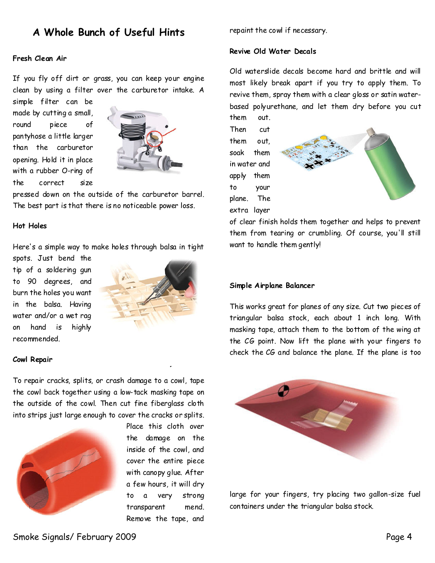### **A Whole Bunch of Useful Hints**

#### **Fresh Clean Air**

If you fly off dirt or grass, you can keep your engine clean by using a filter over the carburetor intake. A

simple filter can be made by cutting a small, round piece of pantyhose a little larger than the carburetor opening. Hold it in place with a rubber O-ring of the correct size



pressed down on the outside of the carburetor barrel. The best part is that there is no noticeable power loss.

#### **Hot Holes**

Here's a simple way to make holes through balsa in tight

spots. Just bend the tipof a soldering gun to 90 degrees, and burn the holes you want in the balsa. Having water and/or a wet rag on hand is highly recommended.



#### **Cowl Repair**

To repair cracks, splits, or crash damage to a cowl, tape the cowl back together using a low-tack masking tape on the outside of the cowl. Then cut fine fiberglass cloth into strips just large enough to cover the cracks or splits.



Place this cloth over the damage on the inside of the cowl, and cover the entire piece with canopy glue. After a few hours, it will dry to a very strong transparent mend. Remove the tape, and

repaint the cowl if necessary.

### **Revive Old Water Decals**

Old waterslide decals become hard and brittle and will most likely break apart if you try to apply them. To revive them, spray them with a clear gloss or satinwater based polyurethane, and let them dry before you cut them out.

Then cut them out, soak them in water and apply them to your plane. The extra layer



of clear finish holds them together and helps to prevent them from tearing or crumbling. Of course, you'll still want to handle them gently!

#### **Simple Airplane Balancer**

This works great for planes of any size. Cut two pieces of triangular balsa stock, each about 1 inch long. With masking tape, attach them to the bottom of the wing at the CG point. Now lift the plane with your fingers to check the CG and balance the plane. If the plane is too



large for your fingers, try placing two gallon-size fuel containers under the triangular balsa stock.

Smoke Signals/ February 2009 Page 4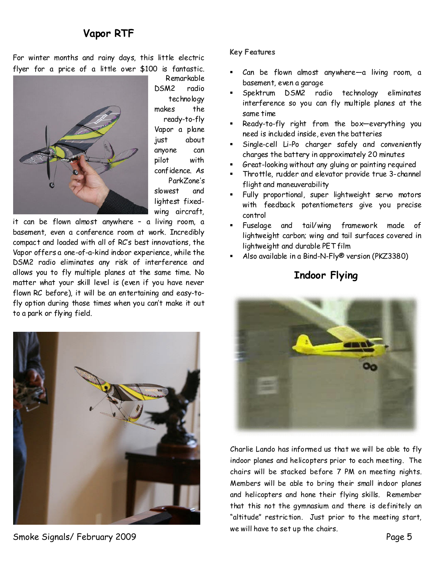# **Vapor RTF**

For winter months and rainy days, this little electric flyer for a price of a little over \$100 is fantastic.



Remarkable DSM2 radio technology makes the ready-to-fly Vapor a plane just about anyone can pilot with confidence. As ParkZone's slowest and lightest fixed wing aircraft,

it can be flown almost anywhere – a living room, a basement, even a conference room at work. Incredibly compact and loaded with all of RC's best innovations, the Vapor offers a one-of-a-kind indoor experience, while the DSM2 radio eliminates any risk of interference and allowsyou to fly multiple planes at the same time. No matter what your skill level is (even if you have never flown RC before), it will be an entertaining and easy-to fly option during those times when you can't make it out to a park or flying field.

Smoke Signals/ February 2009 Page 5

### **Key Features**

- Can be flown almost anywhere-a living room, a basement, even a garage
- ß Spektrum DSM2 radio technology eliminates interference so you can fly multiple planes at the same time
- ß Ready-to-fly right from the box—everything you need is included inside, even the batteries
- ß Single-cell Li-Po charger safely and conveniently charges the battery in approximately 20 minutes
- ß Great-looking without any gluing or painting required
- ß Throttle, rudder and elevator provide true 3-channel flight and maneuverability
- Fully proportional, super lightweight servo motors with feedback potentiometers give you precise control
- ß Fuselage and tail/wing framework made of lightweight carbon; wing and tail surfaces covered in lightweight and durable PET film
- ß Also available in a Bind-N-Fly® version (PKZ3380)

# **Indoor Flying**



Charlie Lando has informed us that we will be able to fly indoor planes and helicopters prior to each meeting. The chairs will be stacked before 7 PM on meeting nights. Members will be able to bring their small indoor planes and helicopters and hone their flying skills. Remember that this not the gymnasium and there is definitely an "altitude" restriction. Just prior to the meeting start, we will have to set up the chairs.